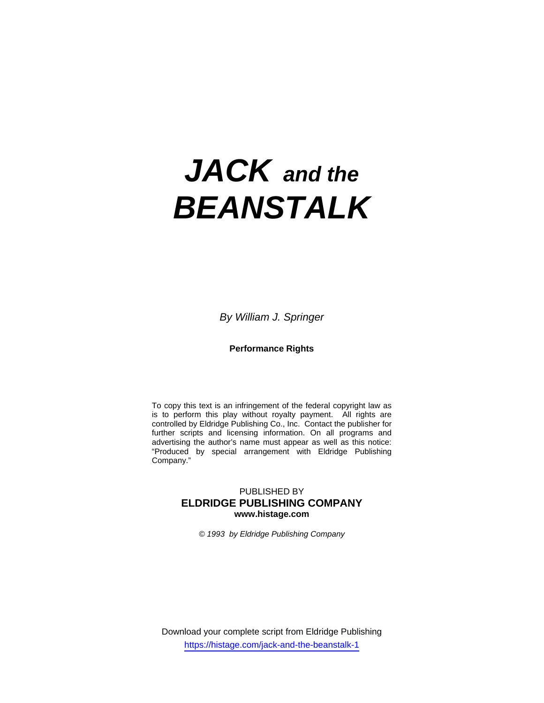# *JACK and the BEANSTALK*

*By William J. Springer*

**Performance Rights**

To copy this text is an infringement of the federal copyright law as is to perform this play without royalty payment. All rights are controlled by Eldridge Publishing Co., Inc. Contact the publisher for further scripts and licensing information. On all programs and advertising the author's name must appear as well as this notice: "Produced by special arrangement with Eldridge Publishing Company."

# PUBLISHED BY **ELDRIDGE PUBLISHING COMPANY www.histage.com**

*© 1993 by Eldridge Publishing Company*

Download your complete script from Eldridge Publishing https://histage.com/jack-and-the-beanstalk-1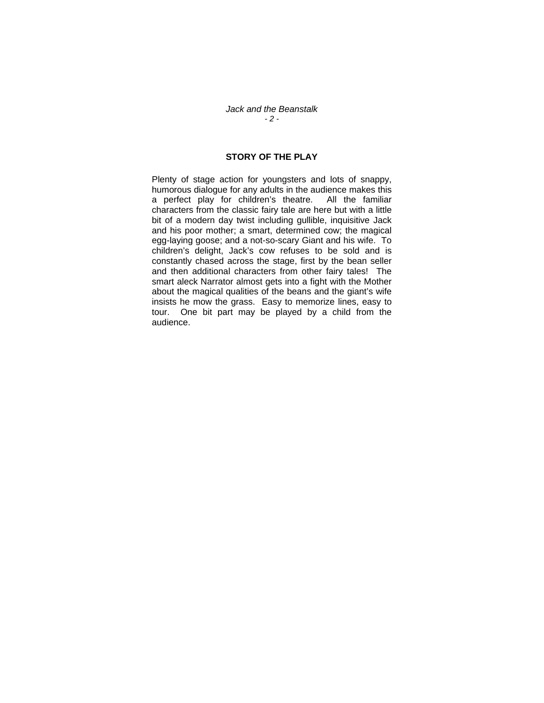#### *Jack and the Beanstalk - 2 -*

# **STORY OF THE PLAY**

Plenty of stage action for youngsters and lots of snappy, humorous dialogue for any adults in the audience makes this a perfect play for children's theatre. All the familiar characters from the classic fairy tale are here but with a little bit of a modern day twist including gullible, inquisitive Jack and his poor mother; a smart, determined cow; the magical egg-laying goose; and a not-so-scary Giant and his wife. To children's delight, Jack's cow refuses to be sold and is constantly chased across the stage, first by the bean seller and then additional characters from other fairy tales! The smart aleck Narrator almost gets into a fight with the Mother about the magical qualities of the beans and the giant's wife insists he mow the grass. Easy to memorize lines, easy to tour. One bit part may be played by a child from the audience.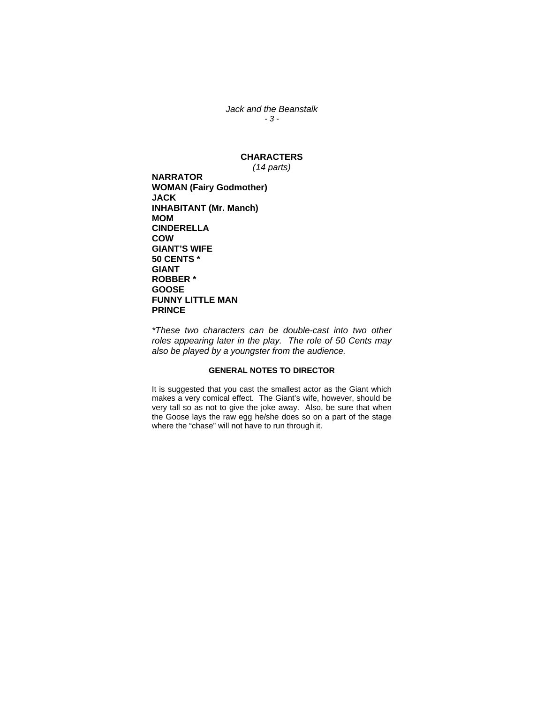*Jack and the Beanstalk - 3 -* 

## **CHARACTERS**  *(14 parts)*

**NARRATOR WOMAN (Fairy Godmother) JACK INHABITANT (Mr. Manch) MOM CINDERELLA COW GIANT'S WIFE 50 CENTS \* GIANT ROBBER \* GOOSE FUNNY LITTLE MAN PRINCE** 

*\*These two characters can be double-cast into two other roles appearing later in the play. The role of 50 Cents may also be played by a youngster from the audience.* 

# **GENERAL NOTES TO DIRECTOR**

It is suggested that you cast the smallest actor as the Giant which makes a very comical effect. The Giant's wife, however, should be very tall so as not to give the joke away. Also, be sure that when the Goose lays the raw egg he/she does so on a part of the stage where the "chase" will not have to run through it.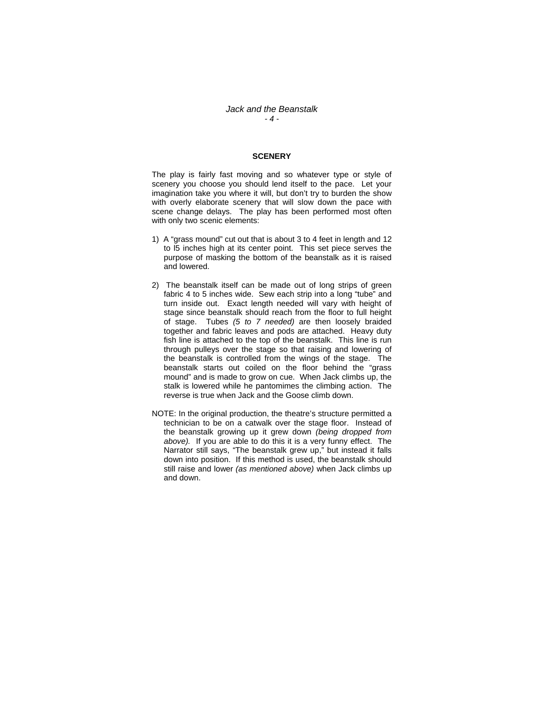#### *Jack and the Beanstalk - 4 -*

#### **SCENERY**

The play is fairly fast moving and so whatever type or style of scenery you choose you should lend itself to the pace. Let your imagination take you where it will, but don't try to burden the show with overly elaborate scenery that will slow down the pace with scene change delays. The play has been performed most often with only two scenic elements:

- 1) A "grass mound" cut out that is about 3 to 4 feet in length and 12 to l5 inches high at its center point. This set piece serves the purpose of masking the bottom of the beanstalk as it is raised and lowered.
- 2) The beanstalk itself can be made out of long strips of green fabric 4 to 5 inches wide. Sew each strip into a long "tube" and turn inside out. Exact length needed will vary with height of stage since beanstalk should reach from the floor to full height of stage. Tubes *(5 to 7 needed)* are then loosely braided together and fabric leaves and pods are attached. Heavy duty fish line is attached to the top of the beanstalk. This line is run through pulleys over the stage so that raising and lowering of the beanstalk is controlled from the wings of the stage. The beanstalk starts out coiled on the floor behind the "grass mound" and is made to grow on cue. When Jack climbs up, the stalk is lowered while he pantomimes the climbing action. The reverse is true when Jack and the Goose climb down.
- NOTE: In the original production, the theatre's structure permitted a technician to be on a catwalk over the stage floor. Instead of the beanstalk growing up it grew down *(being dropped from above).* If you are able to do this it is a very funny effect. The Narrator still says, "The beanstalk grew up," but instead it falls down into position. If this method is used, the beanstalk should still raise and lower *(as mentioned above)* when Jack climbs up and down.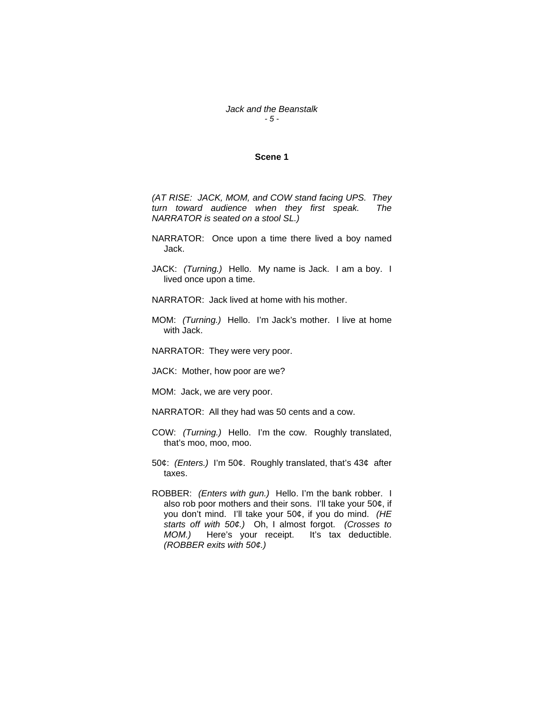#### *Jack and the Beanstalk - 5 -*

#### **Scene 1**

*(AT RISE: JACK, MOM, and COW stand facing UPS. They turn toward audience when they first speak. The NARRATOR is seated on a stool SL.)* 

- NARRATOR: Once upon a time there lived a boy named Jack.
- JACK: *(Turning.)* Hello. My name is Jack. I am a boy. I lived once upon a time.
- NARRATOR: Jack lived at home with his mother.
- MOM: *(Turning.)* Hello. I'm Jack's mother. I live at home with Jack.

NARRATOR: They were very poor.

JACK: Mother, how poor are we?

MOM: Jack, we are very poor.

- NARRATOR: All they had was 50 cents and a cow.
- COW: *(Turning.)* Hello. I'm the cow. Roughly translated, that's moo, moo, moo.
- 50¢: *(Enters.)* I'm 50¢. Roughly translated, that's 43¢ after taxes.
- ROBBER: *(Enters with gun.)* Hello. I'm the bank robber. I also rob poor mothers and their sons. I'll take your  $50¢$ , if you don't mind. I'll take your 50¢, if you do mind. *(HE starts off with 50¢.)* Oh, I almost forgot. *(Crosses to MOM.)* Here's your receipt. It's tax deductible. *(ROBBER exits with 50¢.)*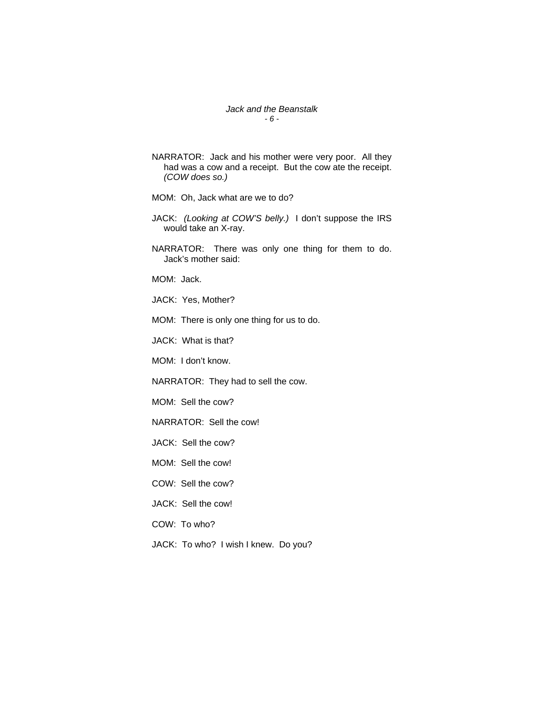# *Jack and the Beanstalk - 6 -*

- NARRATOR: Jack and his mother were very poor. All they had was a cow and a receipt. But the cow ate the receipt. *(COW does so.)*
- MOM: Oh, Jack what are we to do?
- JACK: *(Looking at COW'S belly.)* I don't suppose the IRS would take an X-ray.
- NARRATOR: There was only one thing for them to do. Jack's mother said:
- MOM: Jack.
- JACK: Yes, Mother?
- MOM: There is only one thing for us to do.
- JACK: What is that?
- MOM: I don't know.
- NARRATOR: They had to sell the cow.
- MOM: Sell the cow?
- NARRATOR: Sell the cow!
- JACK: Sell the cow?
- MOM: Sell the cow!
- COW: Sell the cow?
- JACK: Sell the cow!
- COW: To who?
- JACK: To who? I wish I knew. Do you?